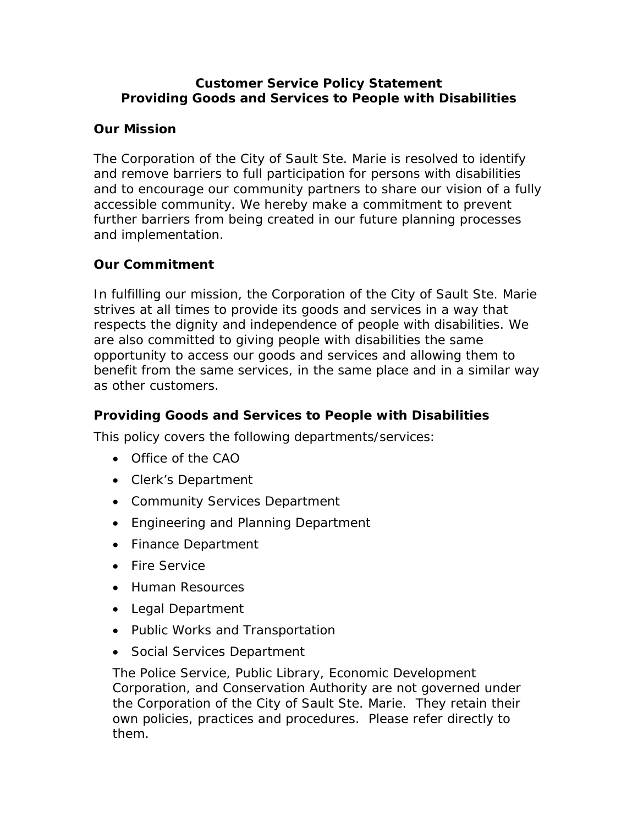#### **Customer Service Policy Statement Providing Goods and Services to People with Disabilities**

### **Our Mission**

The Corporation of the City of Sault Ste. Marie is resolved to identify and remove barriers to full participation for persons with disabilities and to encourage our community partners to share our vision of a fully accessible community. We hereby make a commitment to prevent further barriers from being created in our future planning processes and implementation.

#### **Our Commitment**

In fulfilling our mission, the Corporation of the City of Sault Ste. Marie strives at all times to provide its goods and services in a way that respects the dignity and independence of people with disabilities. We are also committed to giving people with disabilities the same opportunity to access our goods and services and allowing them to benefit from the same services, in the same place and in a similar way as other customers.

## **Providing Goods and Services to People with Disabilities**

This policy covers the following departments/services:

- Office of the CAO
- Clerk's Department
- Community Services Department
- Engineering and Planning Department
- Finance Department
- Fire Service
- **Human Resources**
- Legal Department
- Public Works and Transportation
- Social Services Department

The Police Service, Public Library, Economic Development Corporation, and Conservation Authority are not governed under the Corporation of the City of Sault Ste. Marie. They retain their own policies, practices and procedures. Please refer directly to them.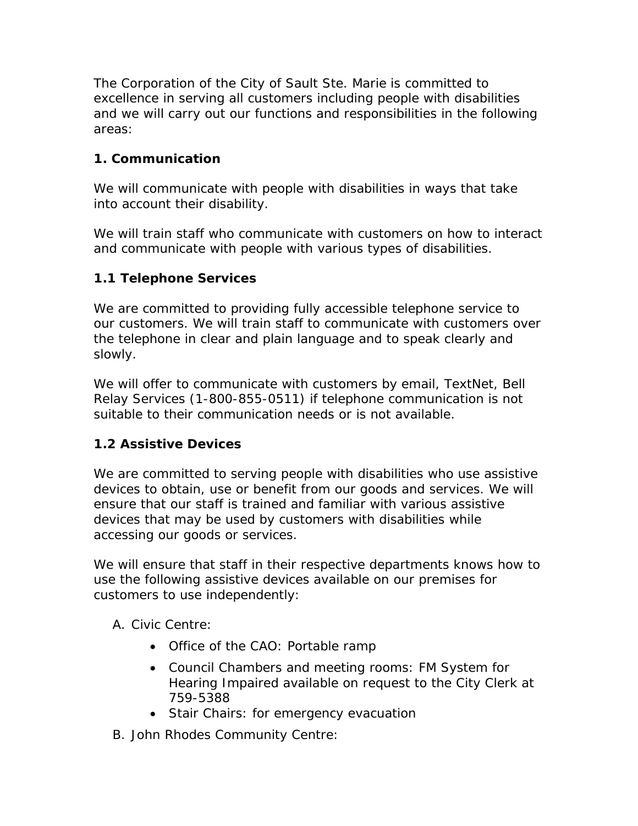The Corporation of the City of Sault Ste. Marie is committed to excellence in serving all customers including people with disabilities and we will carry out our functions and responsibilities in the following areas:

## **1. Communication**

We will communicate with people with disabilities in ways that take into account their disability.

We will train staff who communicate with customers on how to interact and communicate with people with various types of disabilities.

## **1.1 Telephone Services**

We are committed to providing fully accessible telephone service to our customers. We will train staff to communicate with customers over the telephone in clear and plain language and to speak clearly and slowly.

We will offer to communicate with customers by email, TextNet, Bell Relay Services (1-800-855-0511) if telephone communication is not suitable to their communication needs or is not available.

## **1.2 Assistive Devices**

We are committed to serving people with disabilities who use assistive devices to obtain, use or benefit from our goods and services. We will ensure that our staff is trained and familiar with various assistive devices that may be used by customers with disabilities while accessing our goods or services.

We will ensure that staff in their respective departments knows how to use the following assistive devices available on our premises for customers to use independently:

A. Civic Centre:

- Office of the CAO: Portable ramp
- Council Chambers and meeting rooms: FM System for Hearing Impaired available on request to the City Clerk at 759-5388
- Stair Chairs: for emergency evacuation
- B. John Rhodes Community Centre: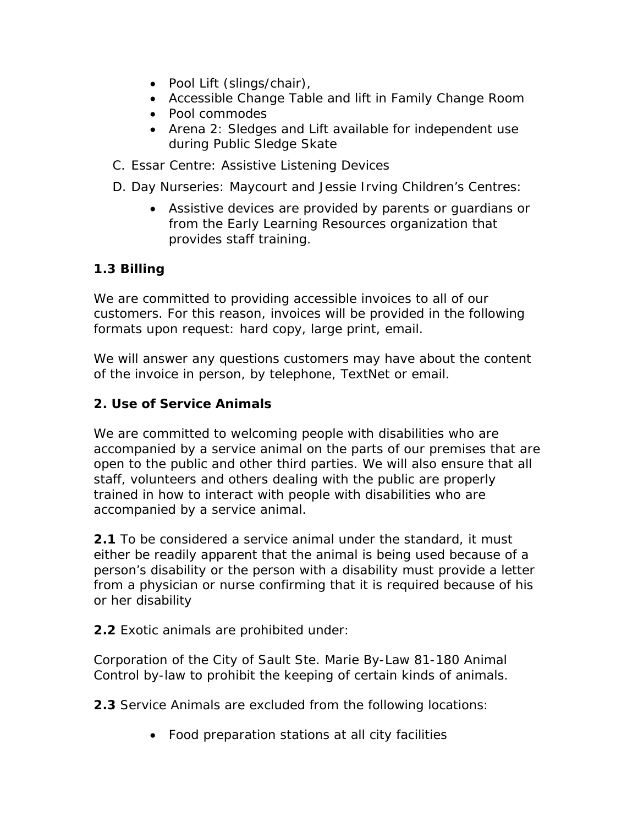- Pool Lift (slings/chair),
- Accessible Change Table and lift in Family Change Room
- Pool commodes
- Arena 2: Sledges and Lift available for independent use during Public Sledge Skate
- C. Essar Centre: Assistive Listening Devices
- D. Day Nurseries: Maycourt and Jessie Irving Children's Centres:
	- Assistive devices are provided by parents or guardians or from the Early Learning Resources organization that provides staff training.

## **1.3 Billing**

We are committed to providing accessible invoices to all of our customers. For this reason, invoices will be provided in the following formats upon request: hard copy, large print, email.

We will answer any questions customers may have about the content of the invoice in person, by telephone, TextNet or email.

#### **2. Use of Service Animals**

We are committed to welcoming people with disabilities who are accompanied by a service animal on the parts of our premises that are open to the public and other third parties. We will also ensure that all staff, volunteers and others dealing with the public are properly trained in how to interact with people with disabilities who are accompanied by a service animal.

**2.1** To be considered a service animal under the standard, it must either be readily apparent that the animal is being used because of a person's disability or the person with a disability must provide a letter from a physician or nurse confirming that it is required because of his or her disability

**2.2** Exotic animals are prohibited under:

Corporation of the City of Sault Ste. Marie By-Law 81-180 Animal Control by-law to prohibit the keeping of certain kinds of animals.

**2.3** Service Animals are excluded from the following locations:

Food preparation stations at all city facilities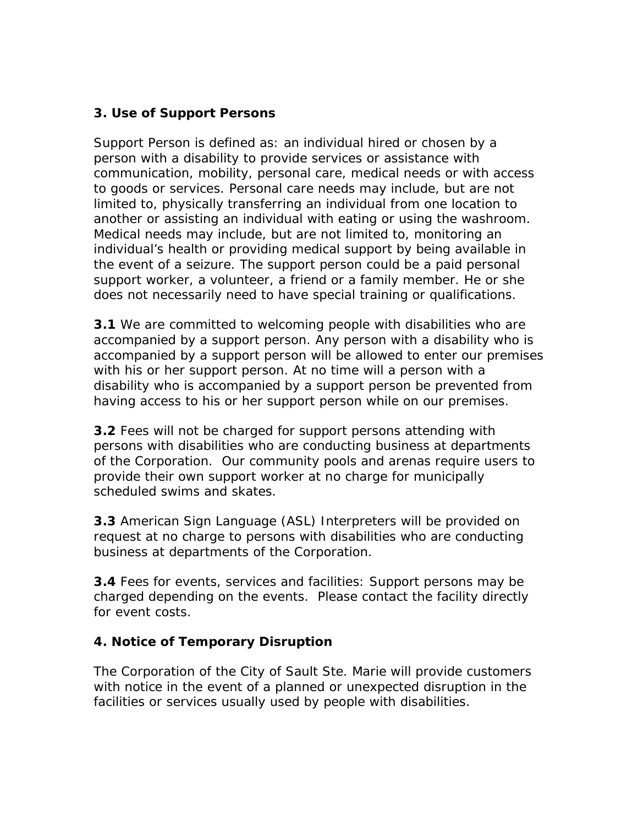#### **3. Use of Support Persons**

Support Person is defined as: an individual hired or chosen by a person with a disability to provide services or assistance with communication, mobility, personal care, medical needs or with access to goods or services. Personal care needs may include, but are not limited to, physically transferring an individual from one location to another or assisting an individual with eating or using the washroom. Medical needs may include, but are not limited to, monitoring an individual's health or providing medical support by being available in the event of a seizure. The support person could be a paid personal support worker, a volunteer, a friend or a family member. He or she does not necessarily need to have special training or qualifications.

**3.1** We are committed to welcoming people with disabilities who are accompanied by a support person. Any person with a disability who is accompanied by a support person will be allowed to enter our premises with his or her support person. At no time will a person with a disability who is accompanied by a support person be prevented from having access to his or her support person while on our premises.

**3.2** Fees will not be charged for support persons attending with persons with disabilities who are conducting business at departments of the Corporation. Our community pools and arenas require users to provide their own support worker at no charge for municipally scheduled swims and skates.

**3.3** American Sign Language (ASL) Interpreters will be provided on request at no charge to persons with disabilities who are conducting business at departments of the Corporation.

**3.4** Fees for events, services and facilities: Support persons may be charged depending on the events. Please contact the facility directly for event costs.

#### **4. Notice of Temporary Disruption**

The Corporation of the City of Sault Ste. Marie will provide customers with notice in the event of a planned or unexpected disruption in the facilities or services usually used by people with disabilities.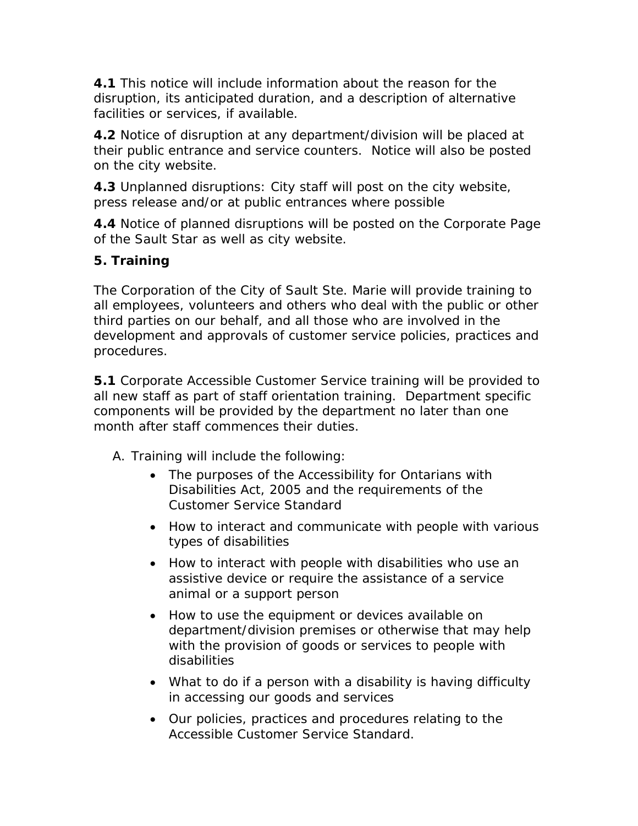**4.1** This notice will include information about the reason for the disruption, its anticipated duration, and a description of alternative facilities or services, if available.

**4.2** Notice of disruption at any department/division will be placed at their public entrance and service counters. Notice will also be posted on the city website.

**4.3** Unplanned disruptions: City staff will post on the city website, press release and/or at public entrances where possible

**4.4** Notice of planned disruptions will be posted on the Corporate Page of the Sault Star as well as city website.

## **5. Training**

The Corporation of the City of Sault Ste. Marie will provide training to all employees, volunteers and others who deal with the public or other third parties on our behalf, and all those who are involved in the development and approvals of customer service policies, practices and procedures.

**5.1** Corporate Accessible Customer Service training will be provided to all new staff as part of staff orientation training. Department specific components will be provided by the department no later than one month after staff commences their duties.

A. Training will include the following:

- The purposes of the Accessibility for Ontarians with Disabilities Act, 2005 and the requirements of the Customer Service Standard
- How to interact and communicate with people with various types of disabilities
- How to interact with people with disabilities who use an assistive device or require the assistance of a service animal or a support person
- How to use the equipment or devices available on department/division premises or otherwise that may help with the provision of goods or services to people with disabilities
- What to do if a person with a disability is having difficulty in accessing our goods and services
- Our policies, practices and procedures relating to the Accessible Customer Service Standard.